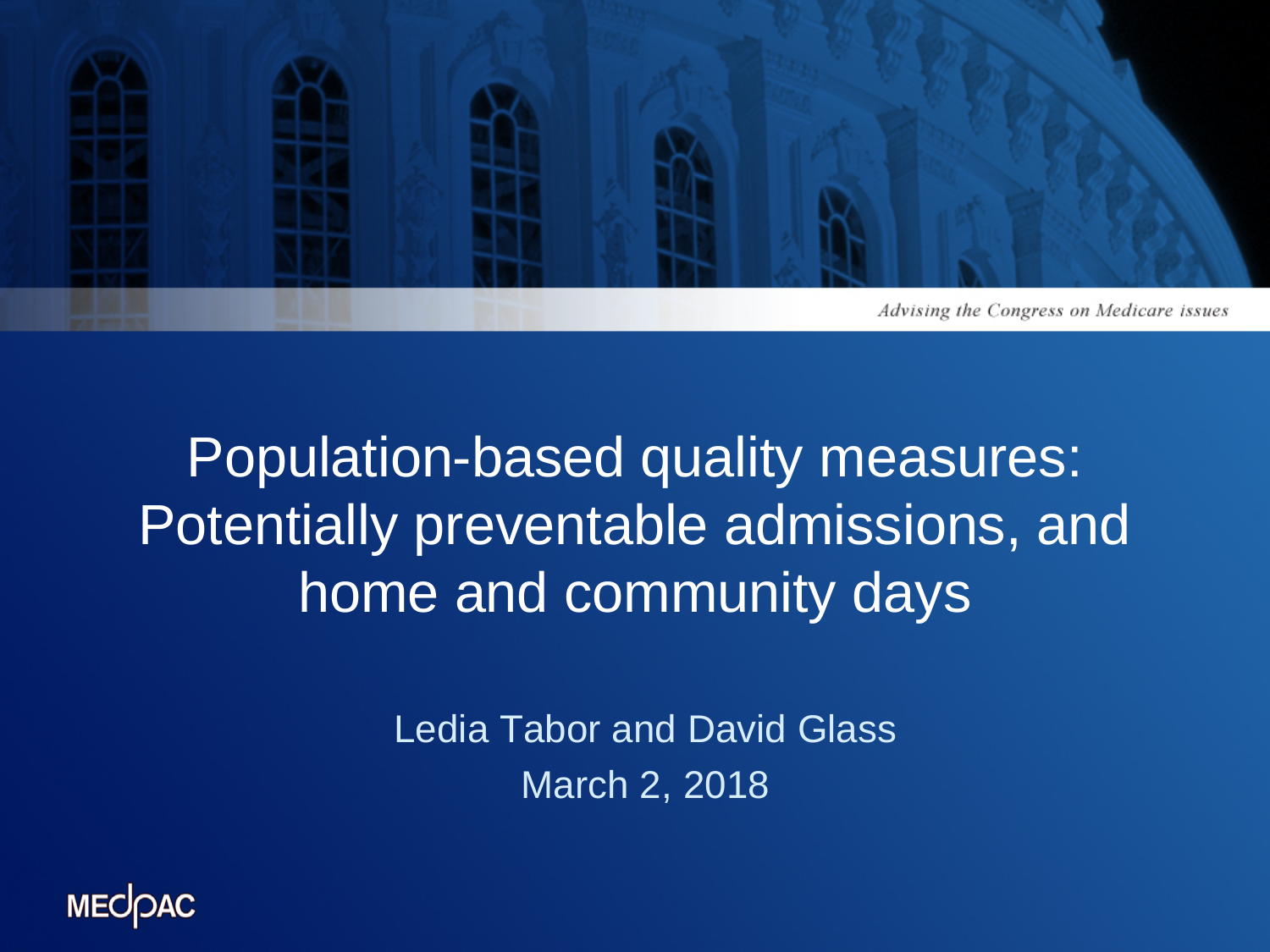

#### Population-based quality measures: Potentially preventable admissions, and home and community days

Ledia Tabor and David Glass March 2, 2018

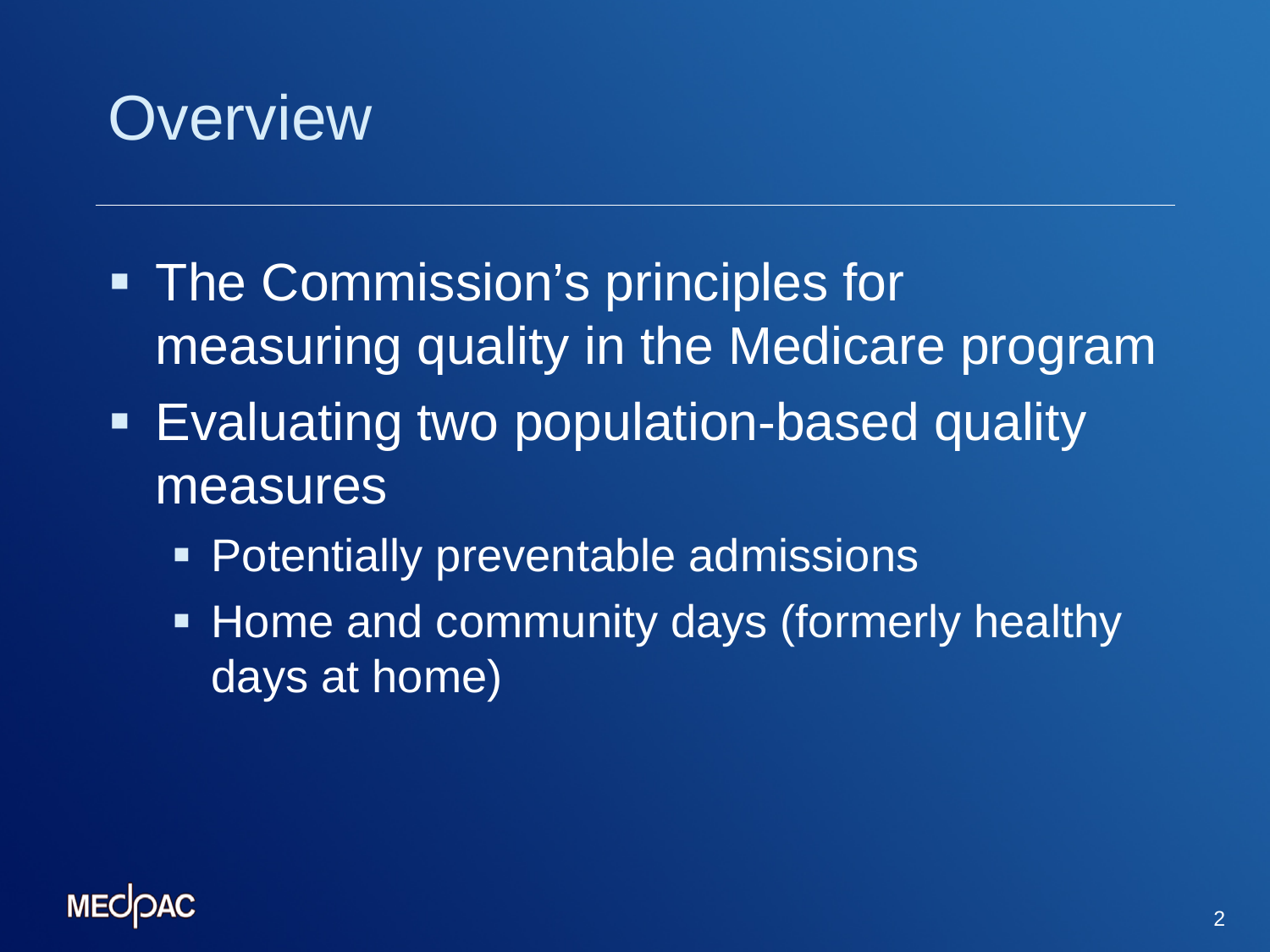

- **The Commission's principles for** measuring quality in the Medicare program
- **Evaluating two population-based quality** measures
	- **Potentially preventable admissions**
	- **Home and community days (formerly healthy** days at home)

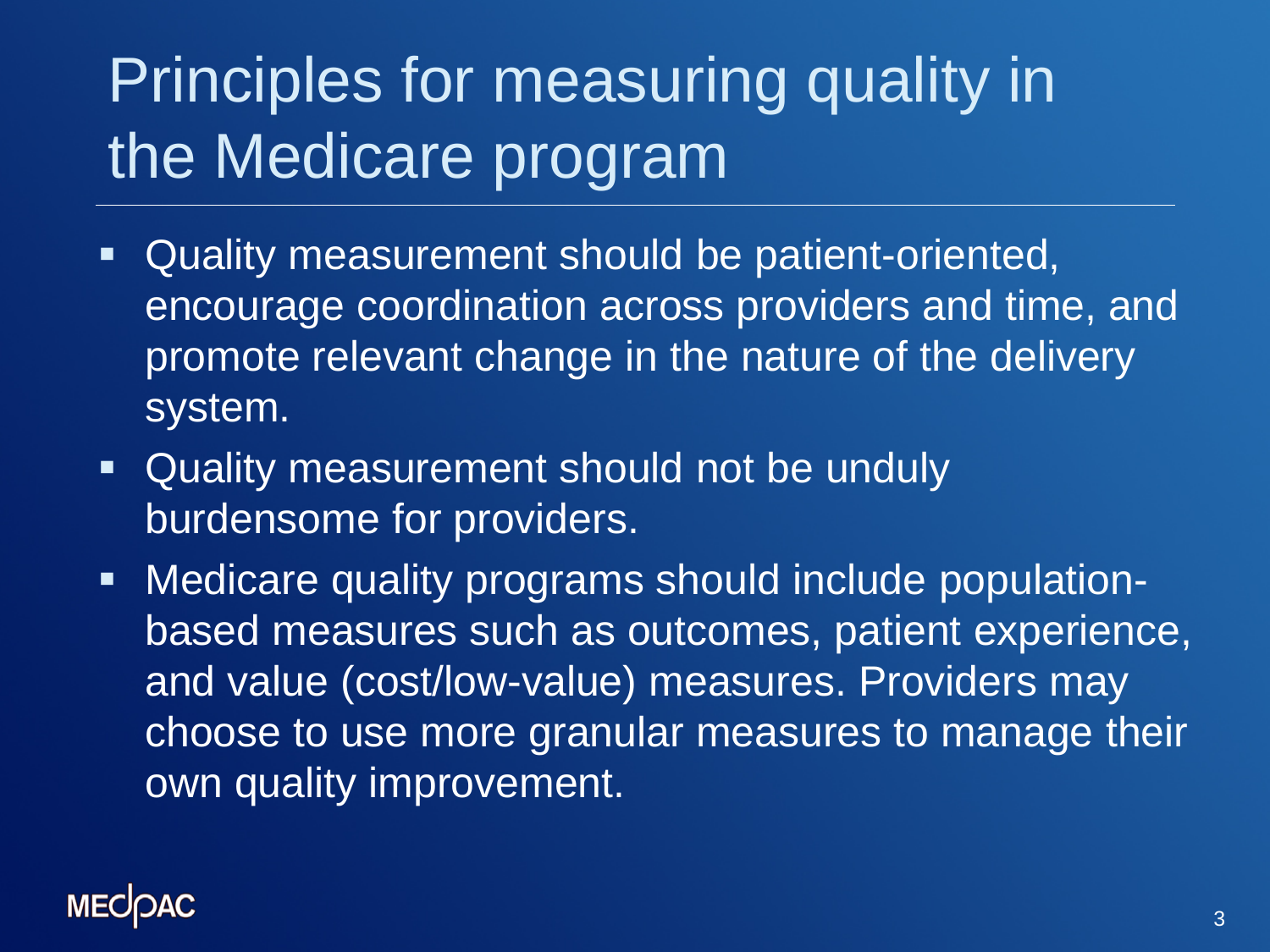# Principles for measuring quality in the Medicare program

- Quality measurement should be patient-oriented, encourage coordination across providers and time, and promote relevant change in the nature of the delivery system.
- **Quality measurement should not be unduly** burdensome for providers.
- Medicare quality programs should include populationbased measures such as outcomes, patient experience, and value (cost/low-value) measures. Providers may choose to use more granular measures to manage their own quality improvement.

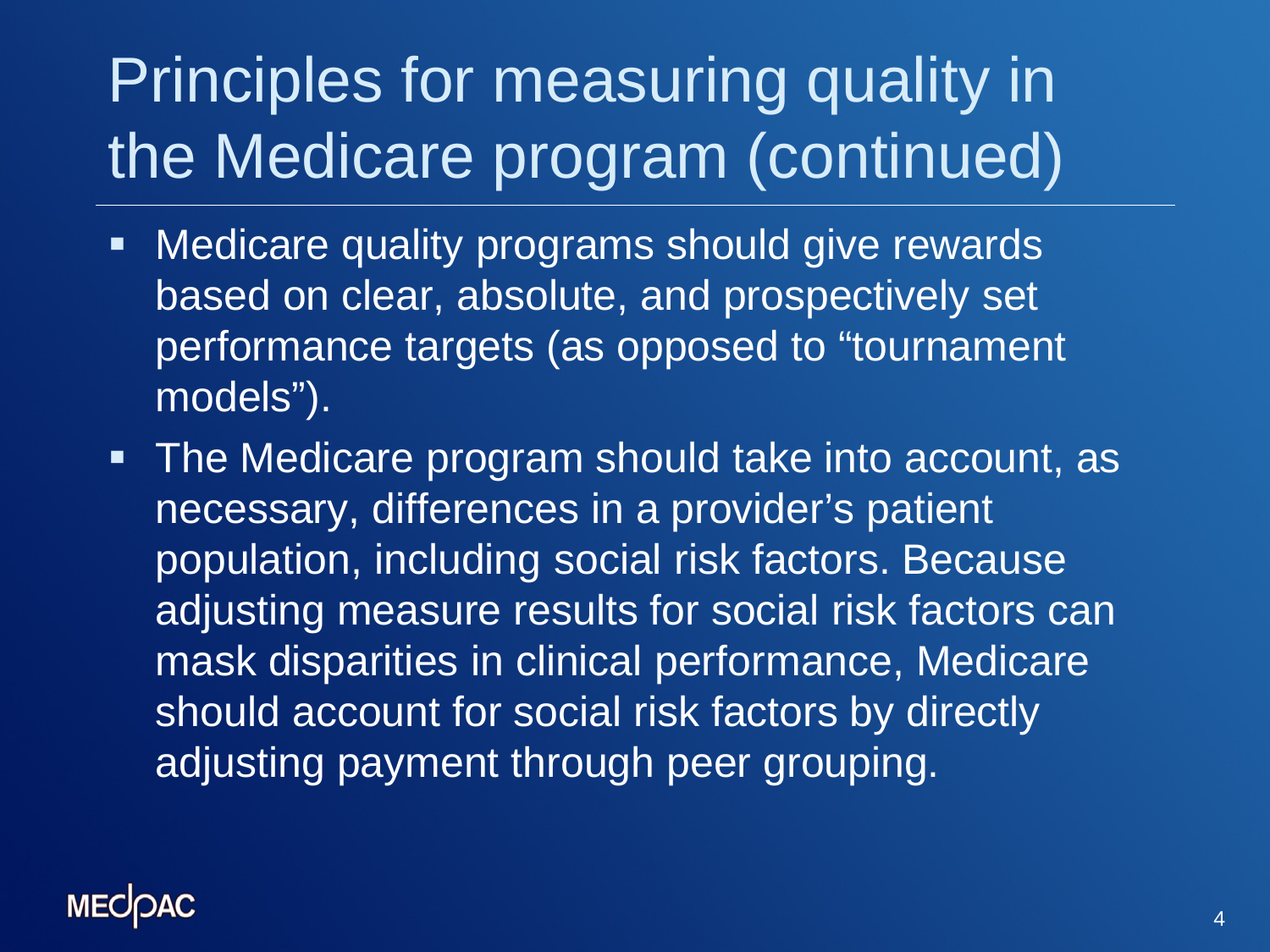## Principles for measuring quality in the Medicare program (continued)

- **Nedicare quality programs should give rewards** based on clear, absolute, and prospectively set performance targets (as opposed to "tournament models").
- The Medicare program should take into account, as necessary, differences in a provider's patient population, including social risk factors. Because adjusting measure results for social risk factors can mask disparities in clinical performance, Medicare should account for social risk factors by directly adjusting payment through peer grouping.

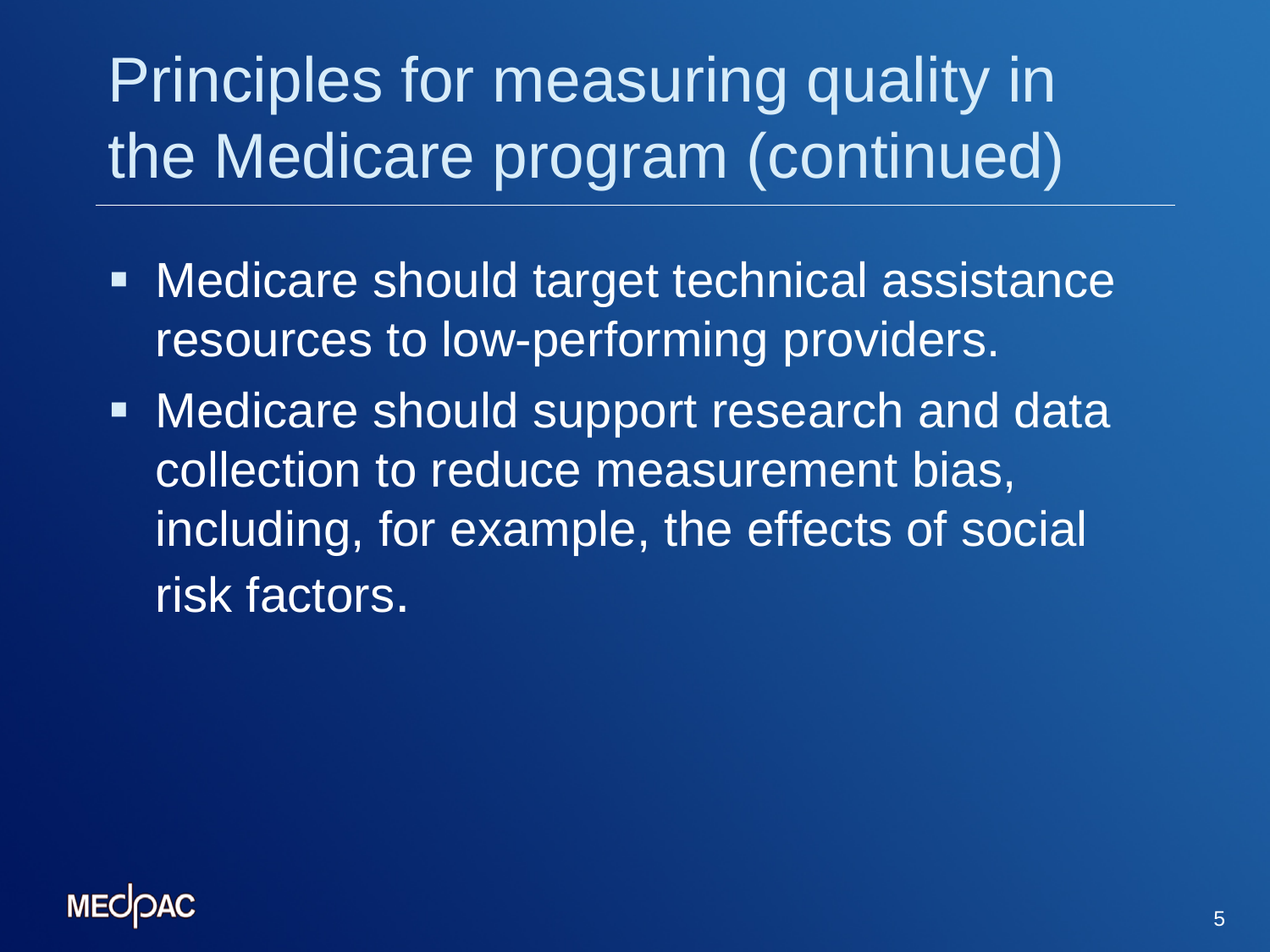# Principles for measuring quality in the Medicare program (continued)

- **Medicare should target technical assistance** resources to low-performing providers.
- **Medicare should support research and data** collection to reduce measurement bias, including, for example, the effects of social risk factors.

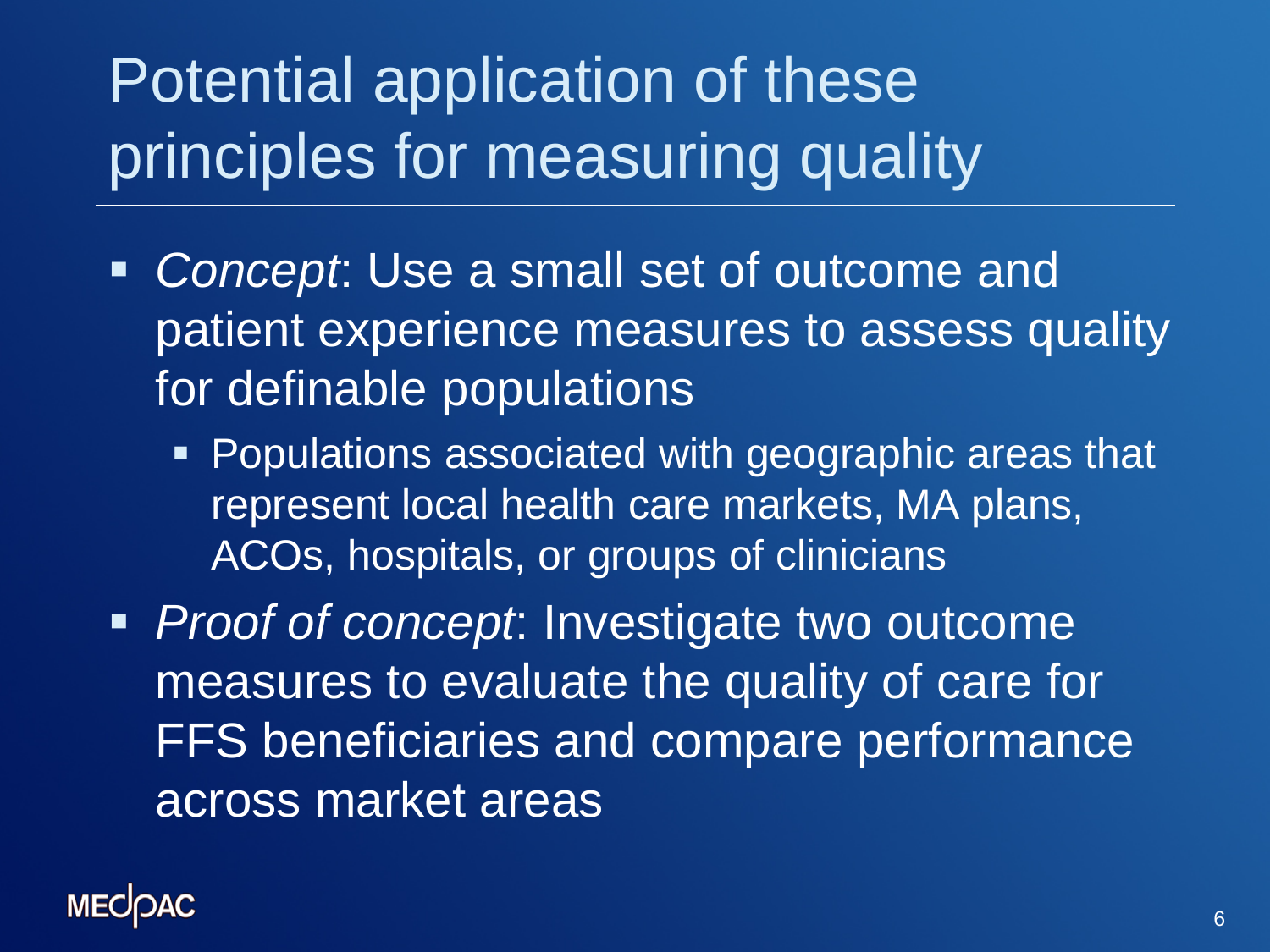# Potential application of these principles for measuring quality

- *Concept*: Use a small set of outcome and patient experience measures to assess quality for definable populations
	- **Populations associated with geographic areas that** represent local health care markets, MA plans, ACOs, hospitals, or groups of clinicians
- *Proof of concept*: Investigate two outcome measures to evaluate the quality of care for FFS beneficiaries and compare performance across market areas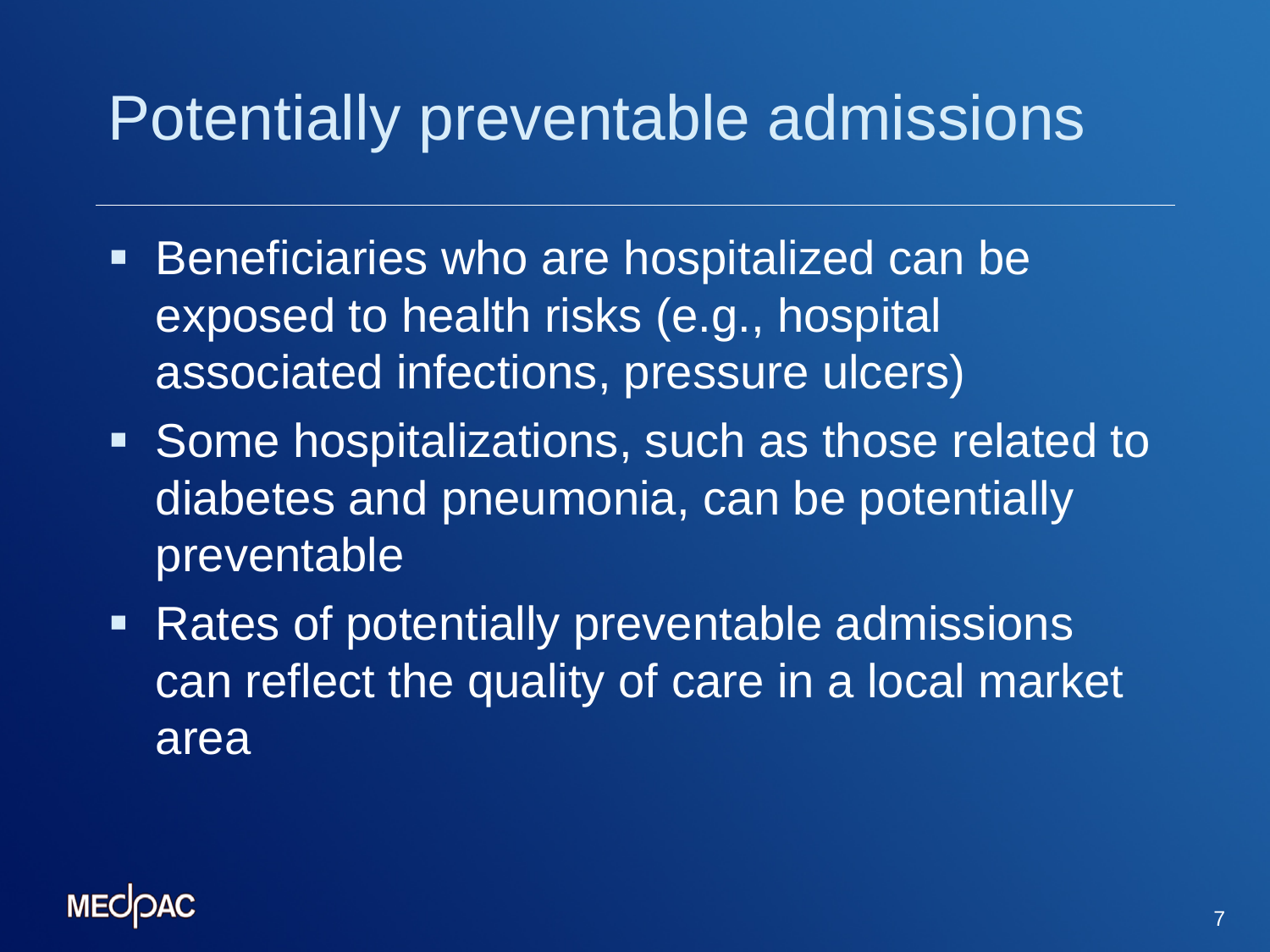#### Potentially preventable admissions

- **Beneficiaries who are hospitalized can be** exposed to health risks (e.g., hospital associated infections, pressure ulcers)
- Some hospitalizations, such as those related to diabetes and pneumonia, can be potentially preventable
- **Rates of potentially preventable admissions** can reflect the quality of care in a local market area

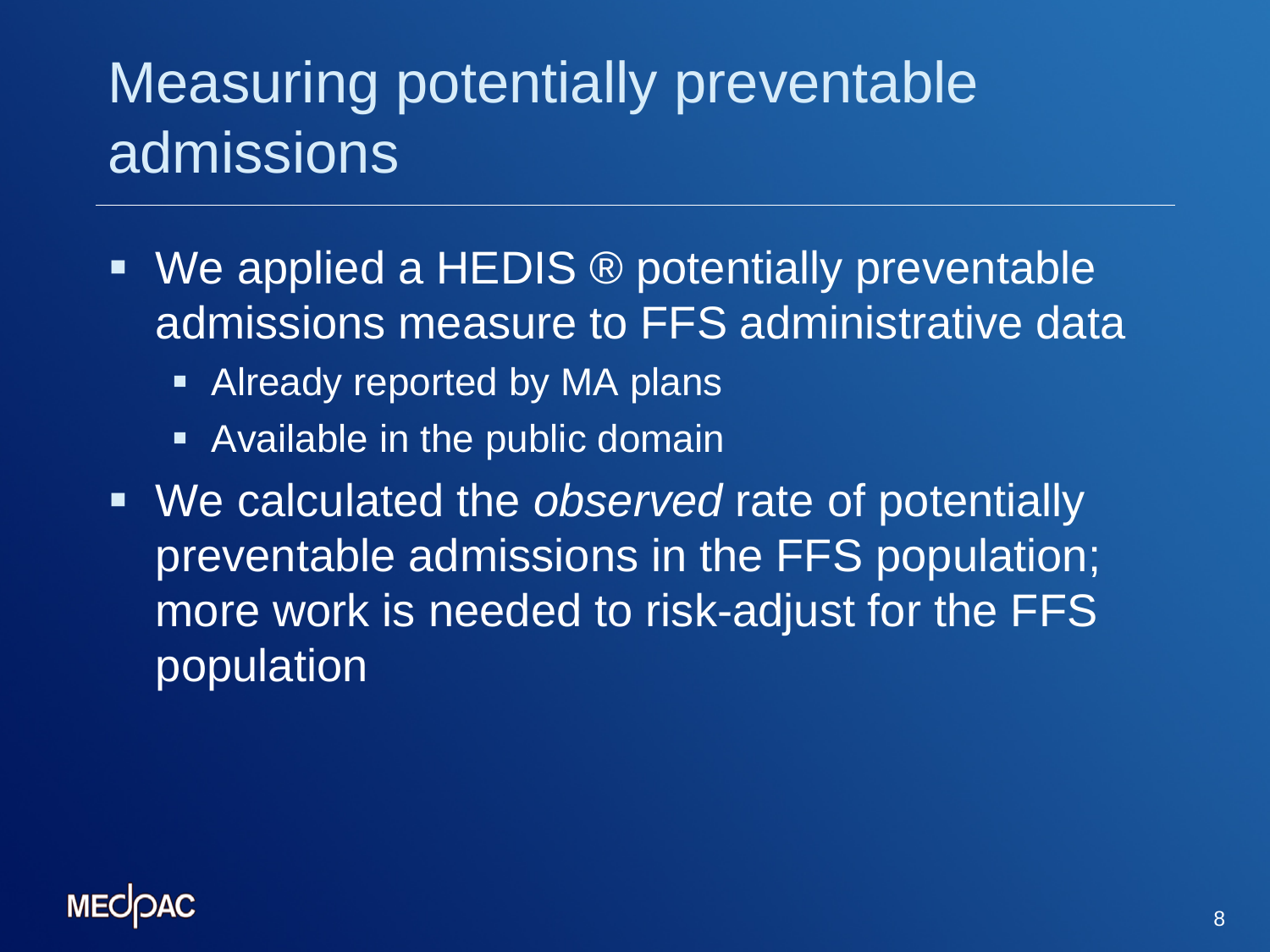#### Measuring potentially preventable admissions

- We applied a HEDIS ® potentially preventable admissions measure to FFS administrative data
	- **EXPLEM** Already reported by MA plans
	- **Available in the public domain**
- We calculated the *observed* rate of potentially preventable admissions in the FFS population; more work is needed to risk-adjust for the FFS population

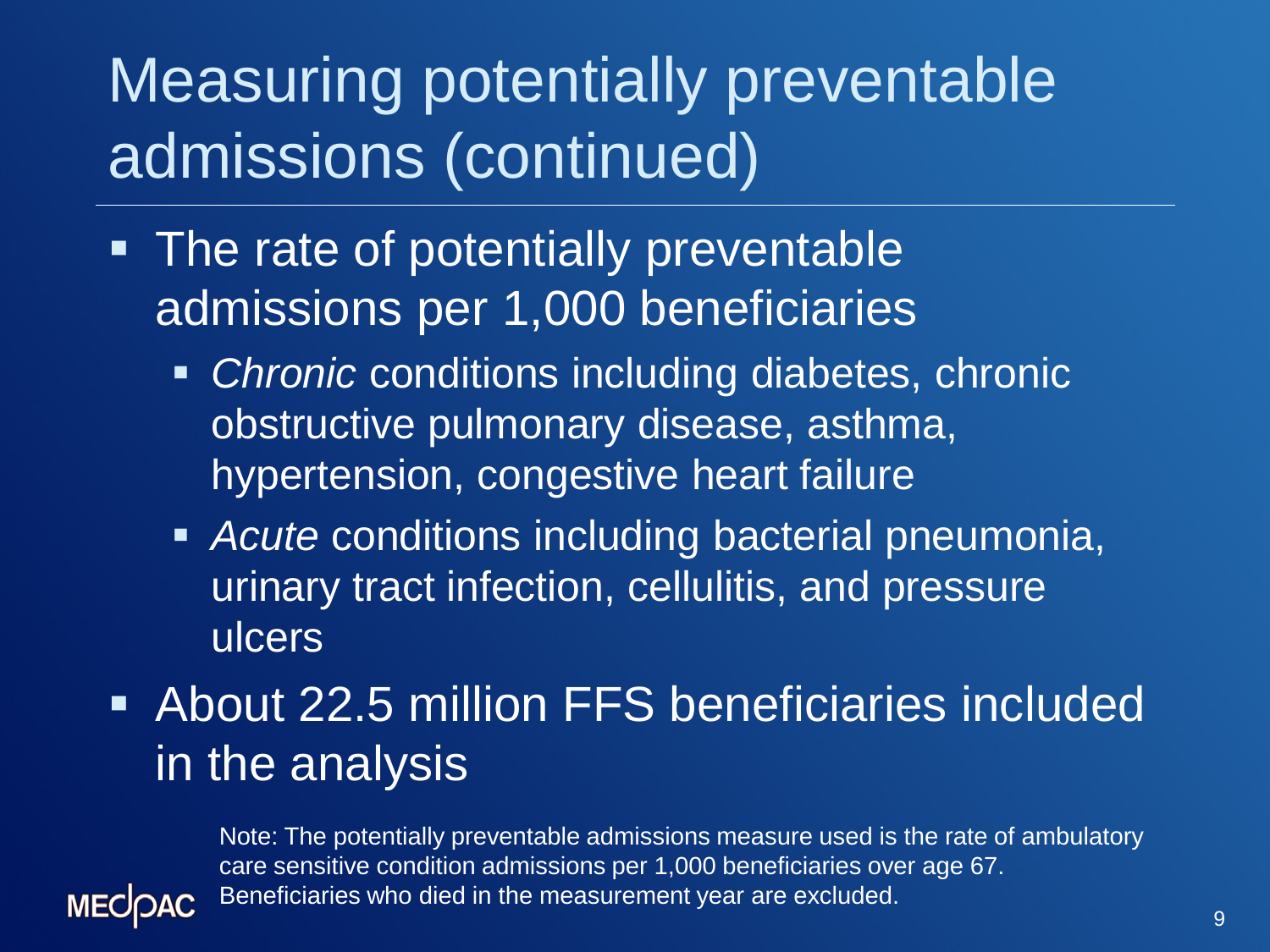## Measuring potentially preventable admissions (continued)

- The rate of potentially preventable admissions per 1,000 beneficiaries
	- *Chronic* conditions including diabetes, chronic obstructive pulmonary disease, asthma, hypertension, congestive heart failure
	- *Acute* conditions including bacterial pneumonia, urinary tract infection, cellulitis, and pressure ulcers
- About 22.5 million FFS beneficiaries included in the analysis

Note: The potentially preventable admissions measure used is the rate of ambulatory care sensitive condition admissions per 1,000 beneficiaries over age 67. Beneficiaries who died in the measurement year are excluded.

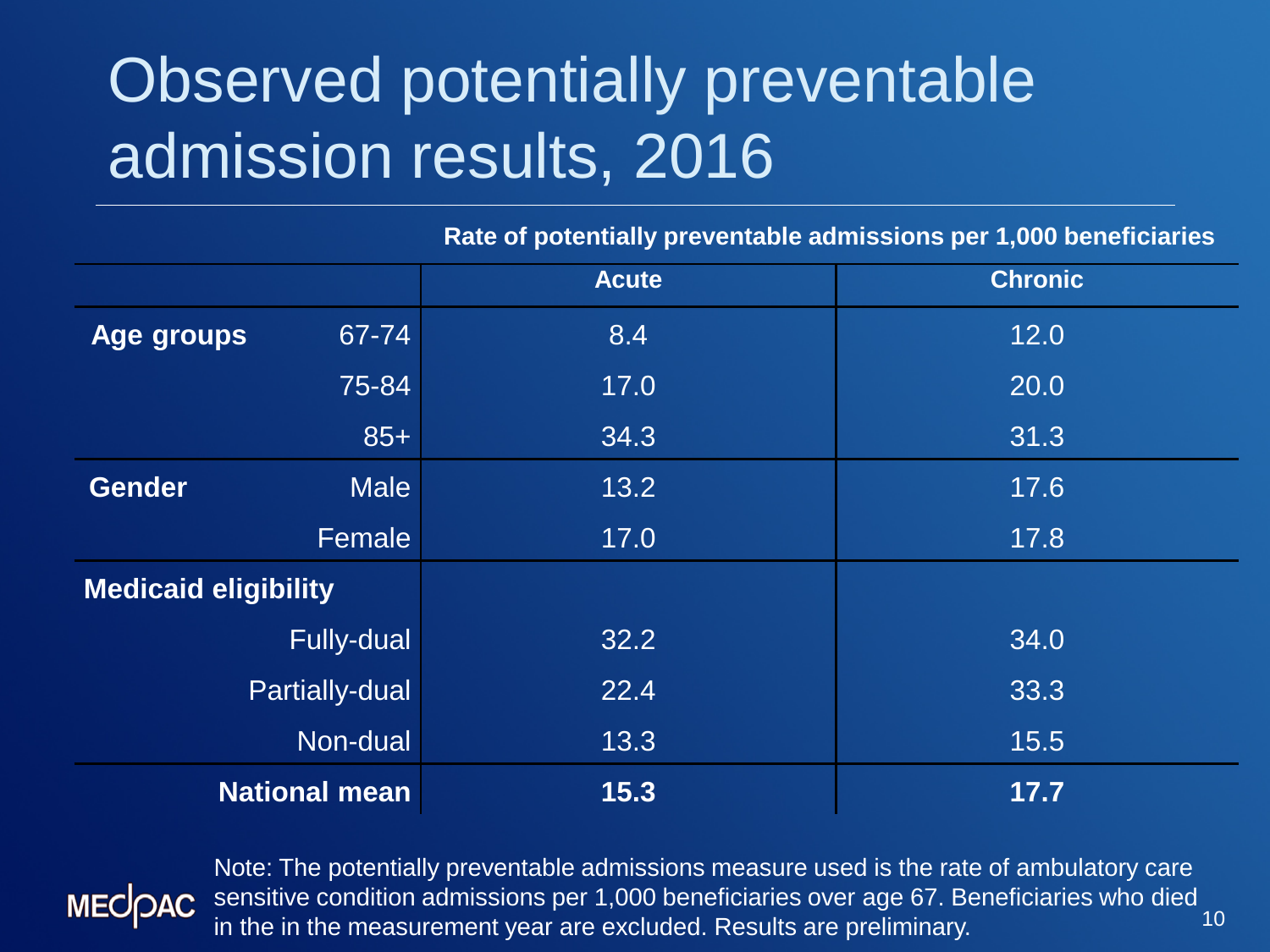## Observed potentially preventable admission results, 2016

**Rate of potentially preventable admissions per 1,000 beneficiaries**

|                             |                       | <b>Acute</b> | <b>Chronic</b> |
|-----------------------------|-----------------------|--------------|----------------|
| Age groups                  | 67-74                 | 8.4          | 12.0           |
|                             | 75-84                 | 17.0         | 20.0           |
|                             | $85+$                 | 34.3         | 31.3           |
| <b>Gender</b>               | <b>Male</b>           | 13.2         | 17.6           |
|                             | Female                | 17.0         | 17.8           |
| <b>Medicaid eligibility</b> |                       |              |                |
|                             | <b>Fully-dual</b>     | 32.2         | 34.0           |
|                             | <b>Partially-dual</b> | 22.4         | 33.3           |
|                             | Non-dual              | 13.3         | 15.5           |
| <b>National mean</b>        |                       | 15.3         | 17.7           |



10 Note: The potentially preventable admissions measure used is the rate of ambulatory care sensitive condition admissions per 1,000 beneficiaries over age 67. Beneficiaries who died in the in the measurement year are excluded. Results are preliminary.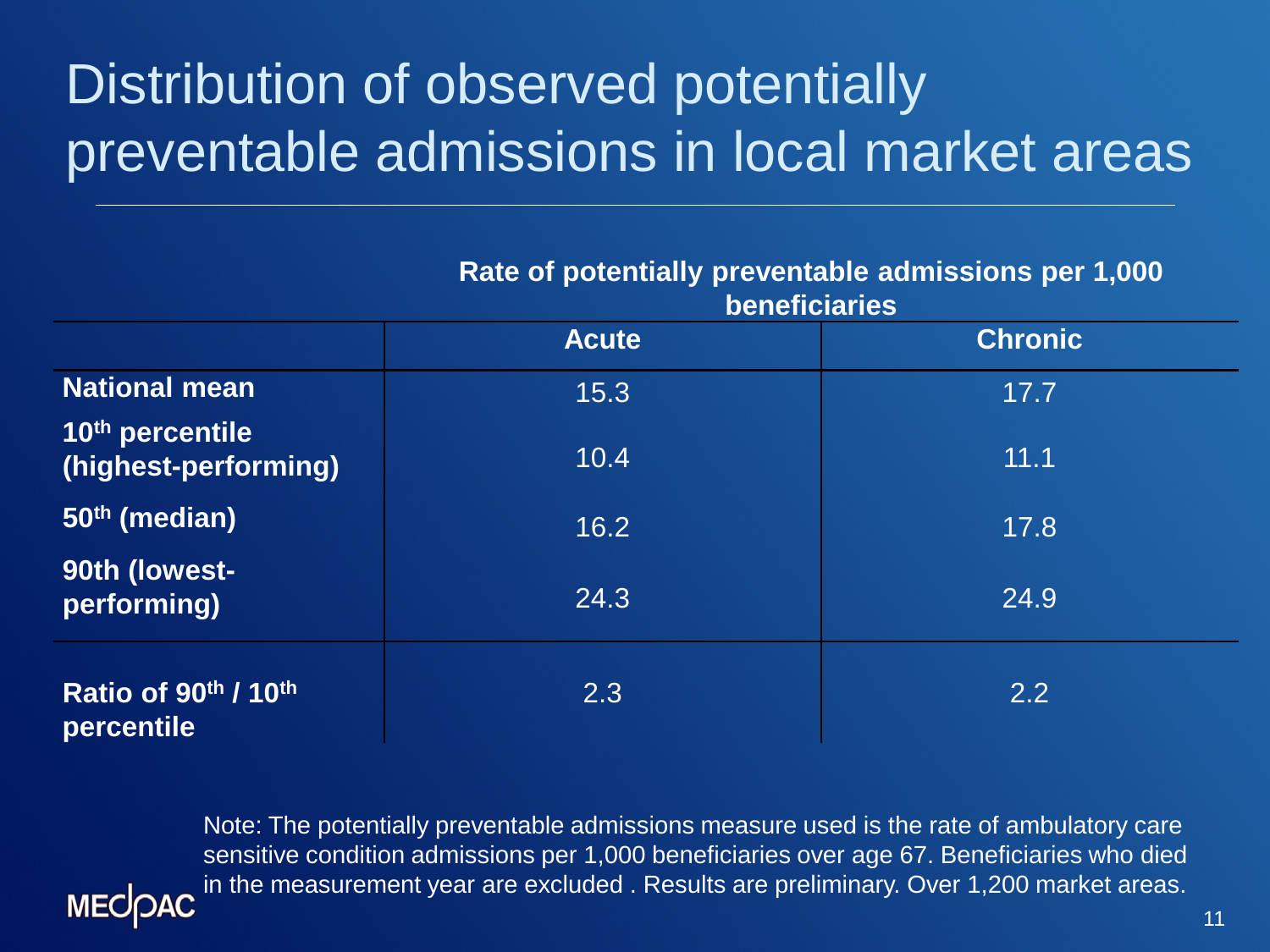#### Distribution of observed potentially preventable admissions in local market areas

|                                         | Rate of potentially preventable admissions per 1,000<br><b>beneficiaries</b> |                |  |
|-----------------------------------------|------------------------------------------------------------------------------|----------------|--|
|                                         | <b>Acute</b>                                                                 | <b>Chronic</b> |  |
| <b>National mean</b>                    | 15.3                                                                         | 17.7           |  |
| 10th percentile<br>(highest-performing) | 10.4                                                                         | 11.1           |  |
| 50 <sup>th</sup> (median)               | 16.2                                                                         | 17.8           |  |
| 90th (lowest-<br>performing)            | 24.3                                                                         | 24.9           |  |
| Ratio of 90th / 10th<br>percentile      | 2.3                                                                          | 2.2            |  |

Note: The potentially preventable admissions measure used is the rate of ambulatory care sensitive condition admissions per 1,000 beneficiaries over age 67. Beneficiaries who died in the measurement year are excluded . Results are preliminary. Over 1,200 market areas.**MECOAC**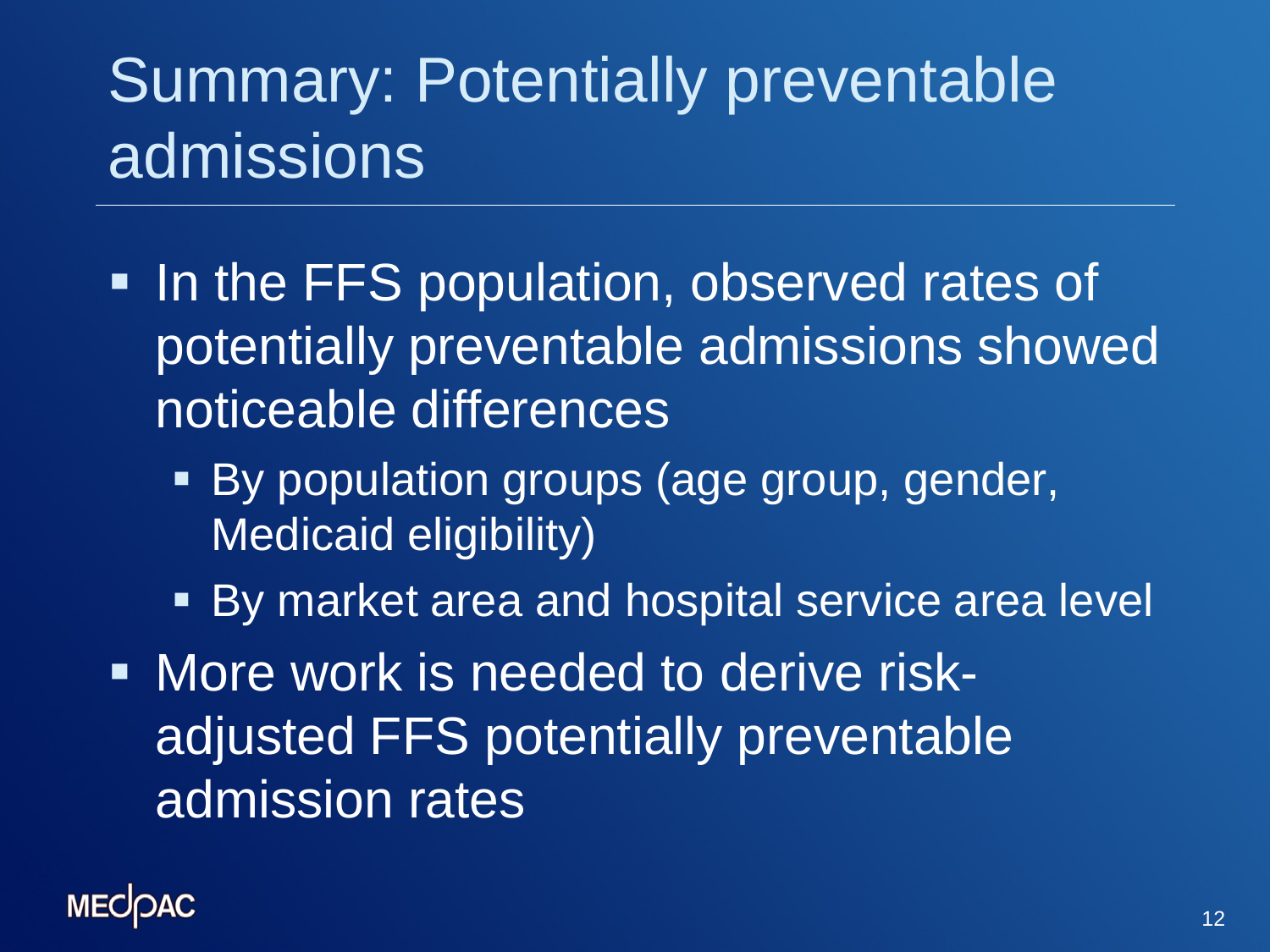## Summary: Potentially preventable admissions

- In the FFS population, observed rates of potentially preventable admissions showed noticeable differences
	- **By population groups (age group, gender,** Medicaid eligibility)
	- **By market area and hospital service area level**
- **More work is needed to derive risk**adjusted FFS potentially preventable admission rates

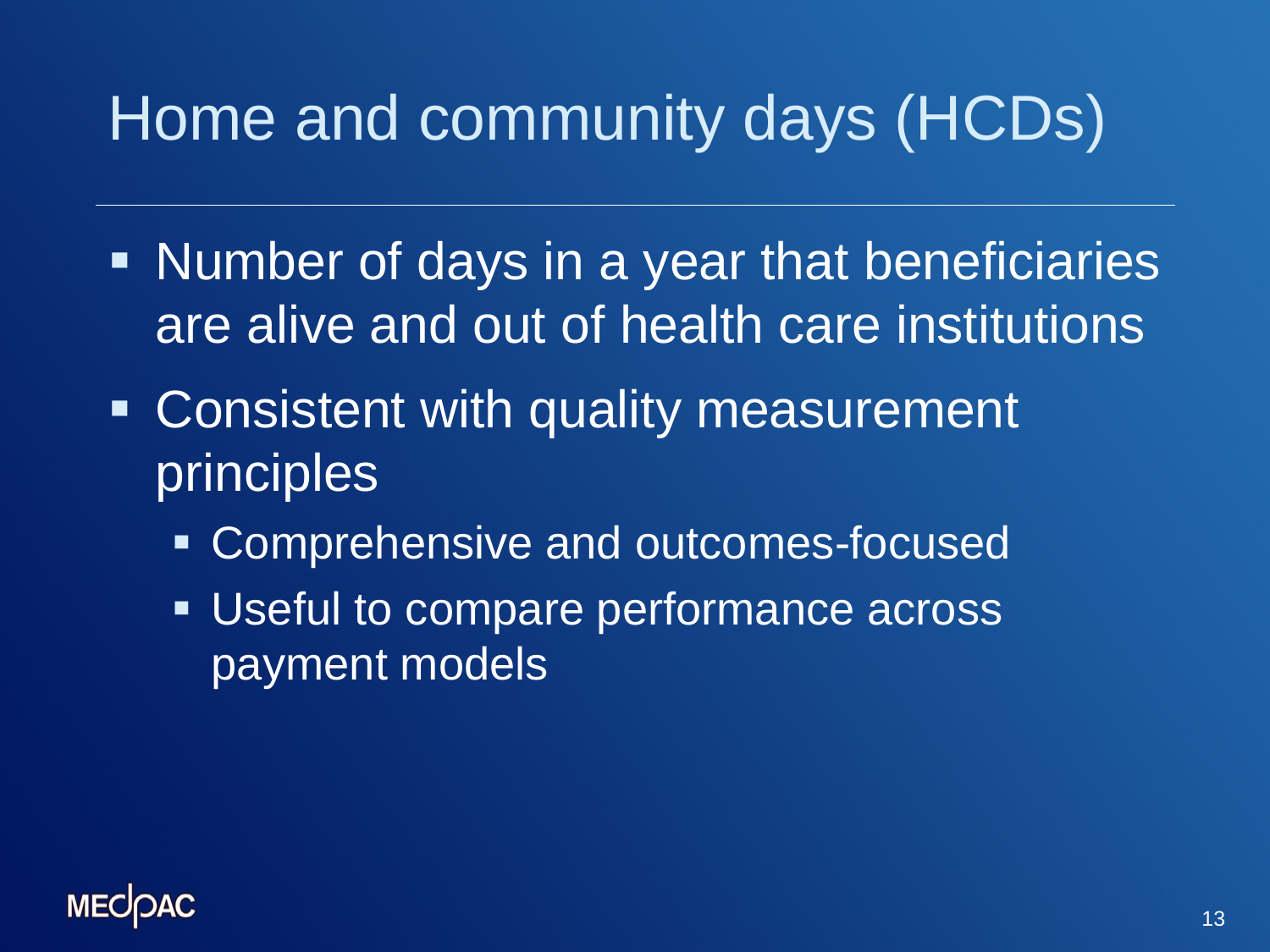#### Home and community days (HCDs)

- Number of days in a year that beneficiaries are alive and out of health care institutions
- Consistent with quality measurement principles
	- **EX Comprehensive and outcomes-focused**
	- Useful to compare performance across payment models

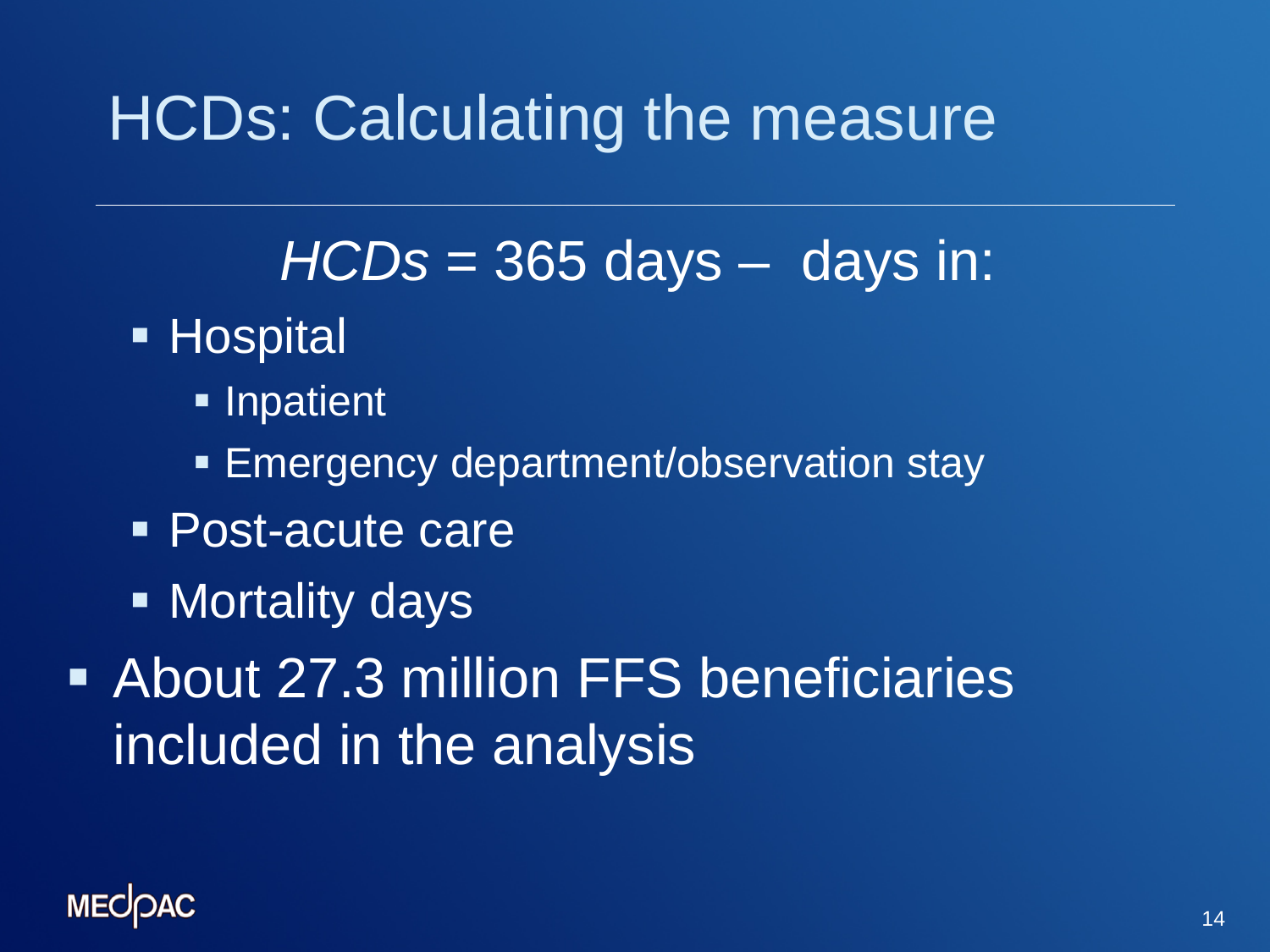#### HCDs: Calculating the measure

#### *HCDs* = 365 days – days in:

- **Hospital** 
	- **Inpatient**
	- **Emergency department/observation stay**
- Post-acute care
- **Nortality days**
- About 27.3 million FFS beneficiaries included in the analysis

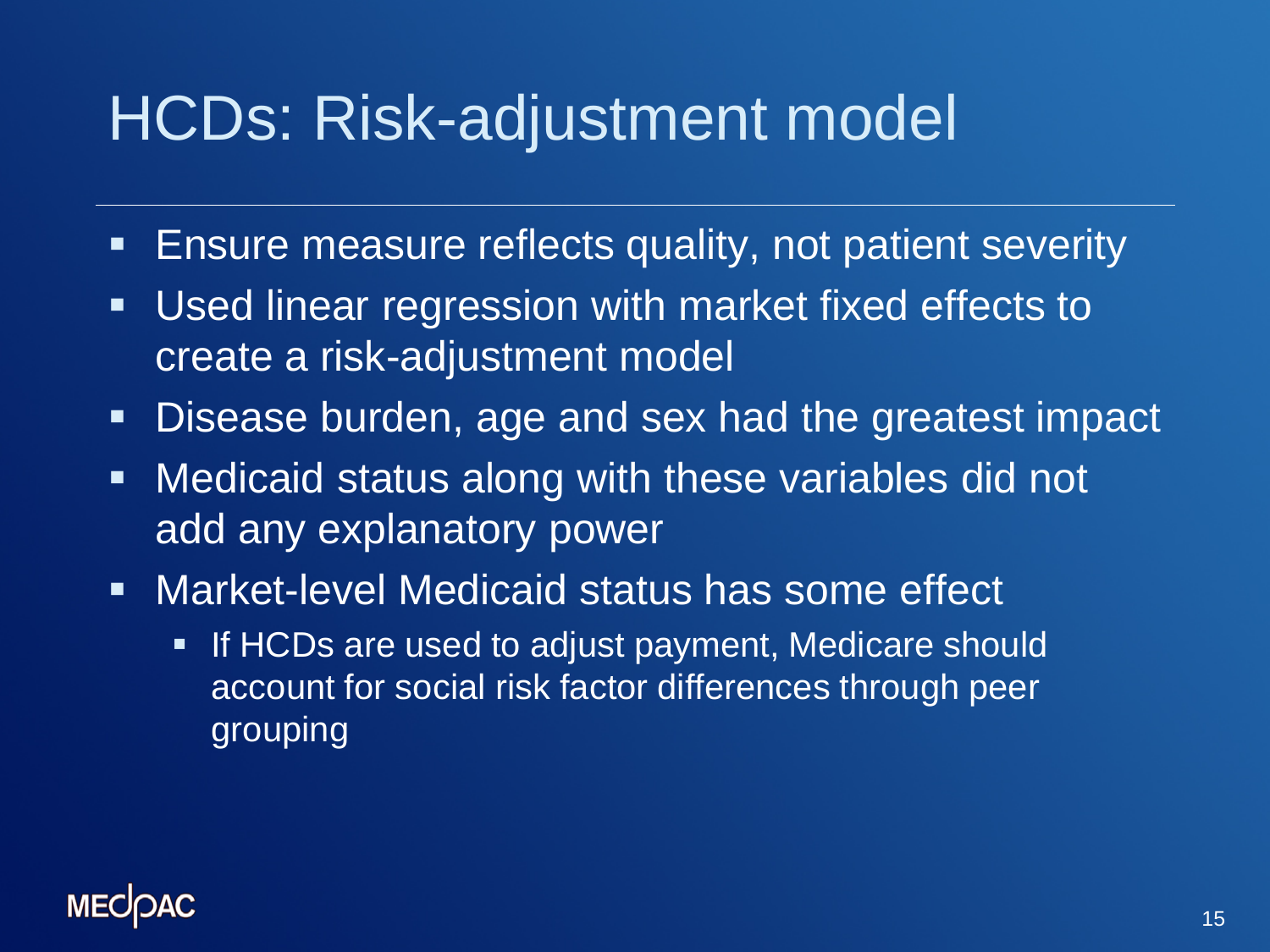#### HCDs: Risk-adjustment model

- **Ensure measure reflects quality, not patient severity**
- Used linear regression with market fixed effects to create a risk-adjustment model
- **Disease burden, age and sex had the greatest impact**
- **Medicaid status along with these variables did not** add any explanatory power
- Market-level Medicaid status has some effect
	- **If HCDs are used to adjust payment, Medicare should** account for social risk factor differences through peer grouping

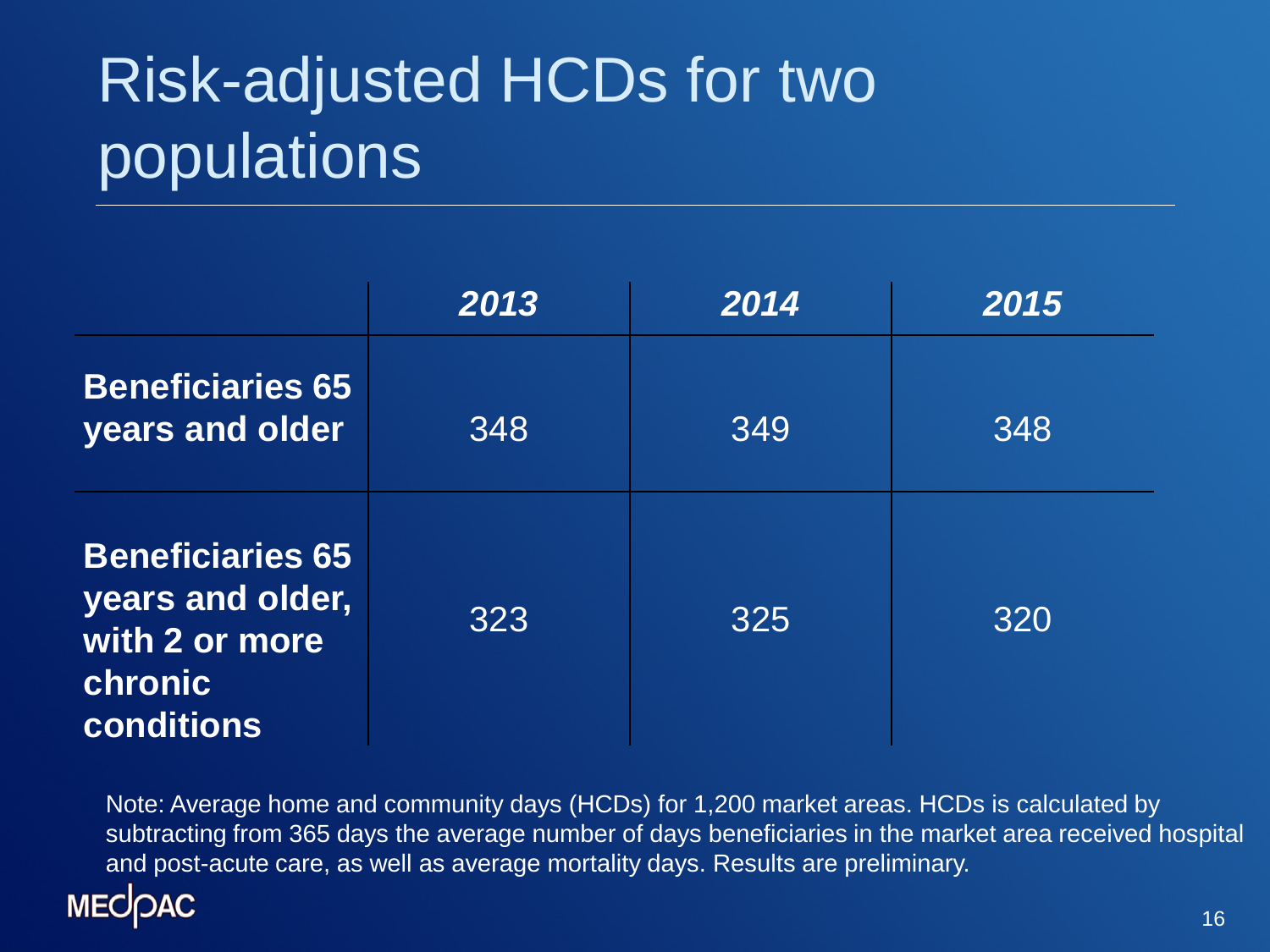# Risk-adjusted HCDs for two populations

|                                                                                               | 2013 | 2014 | 2015 |
|-----------------------------------------------------------------------------------------------|------|------|------|
| <b>Beneficiaries 65</b><br>years and older                                                    | 348  | 349  | 348  |
| <b>Beneficiaries 65</b><br>years and older,<br>with 2 or more<br><b>chronic</b><br>conditions | 323  | 325  | 320  |

Note: Average home and community days (HCDs) for 1,200 market areas. HCDs is calculated by subtracting from 365 days the average number of days beneficiaries in the market area received hospital and post-acute care, as well as average mortality days. Results are preliminary.

#### **MECOAC**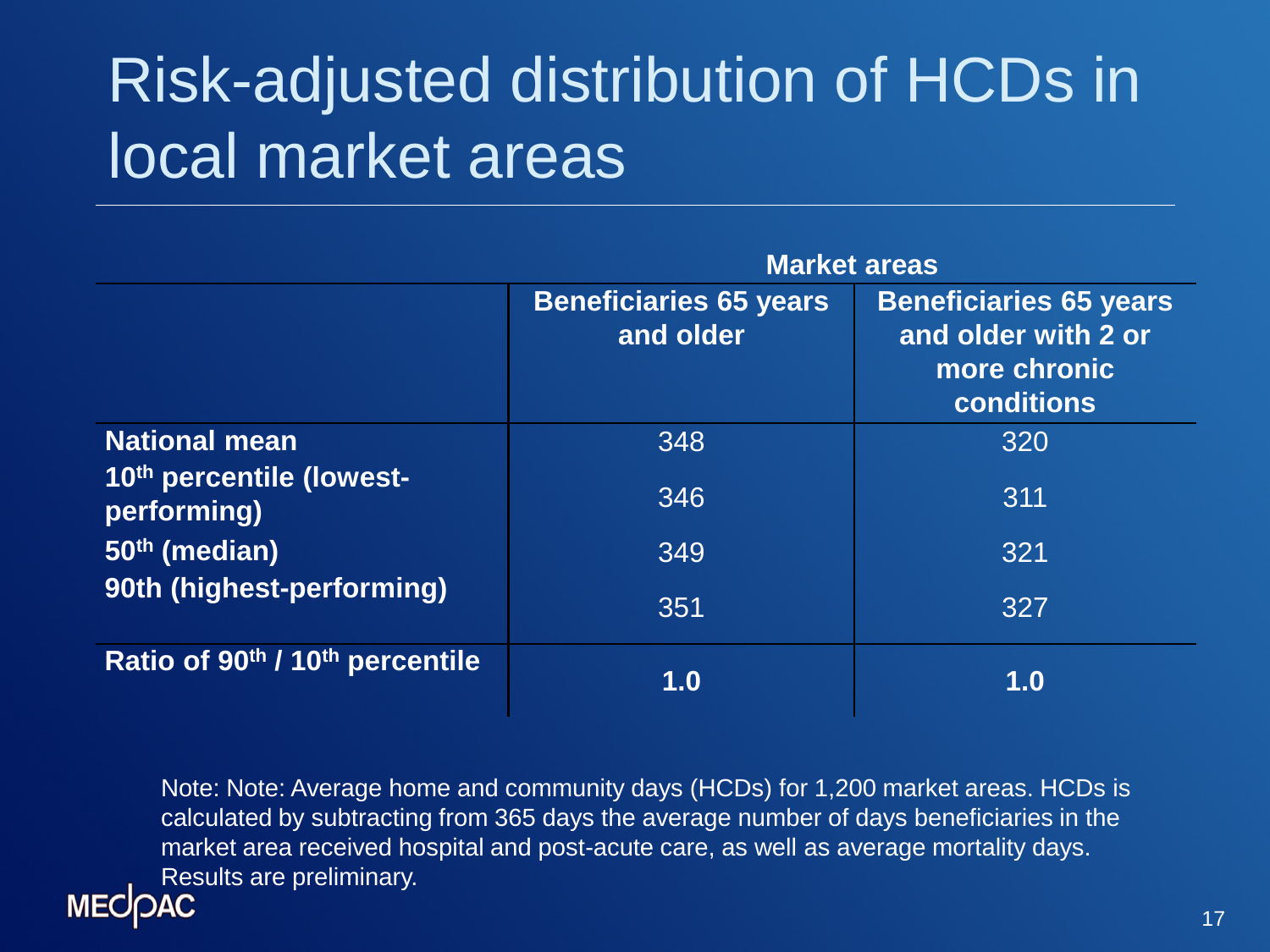## Risk-adjusted distribution of HCDs in local market areas

|                                         | <b>Market areas</b>                        |                                                                                    |  |
|-----------------------------------------|--------------------------------------------|------------------------------------------------------------------------------------|--|
|                                         | <b>Beneficiaries 65 years</b><br>and older | <b>Beneficiaries 65 years</b><br>and older with 2 or<br>more chronic<br>conditions |  |
| <b>National mean</b>                    | 348                                        | 320                                                                                |  |
| 10th percentile (lowest-<br>performing) | 346                                        | 311                                                                                |  |
| 50 <sup>th</sup> (median)               | 349                                        | 321                                                                                |  |
| 90th (highest-performing)               | 351                                        | 327                                                                                |  |
| Ratio of 90th / 10th percentile         | 1.0                                        | 1.0                                                                                |  |

Note: Note: Average home and community days (HCDs) for 1,200 market areas. HCDs is calculated by subtracting from 365 days the average number of days beneficiaries in the market area received hospital and post-acute care, as well as average mortality days. Results are preliminary.

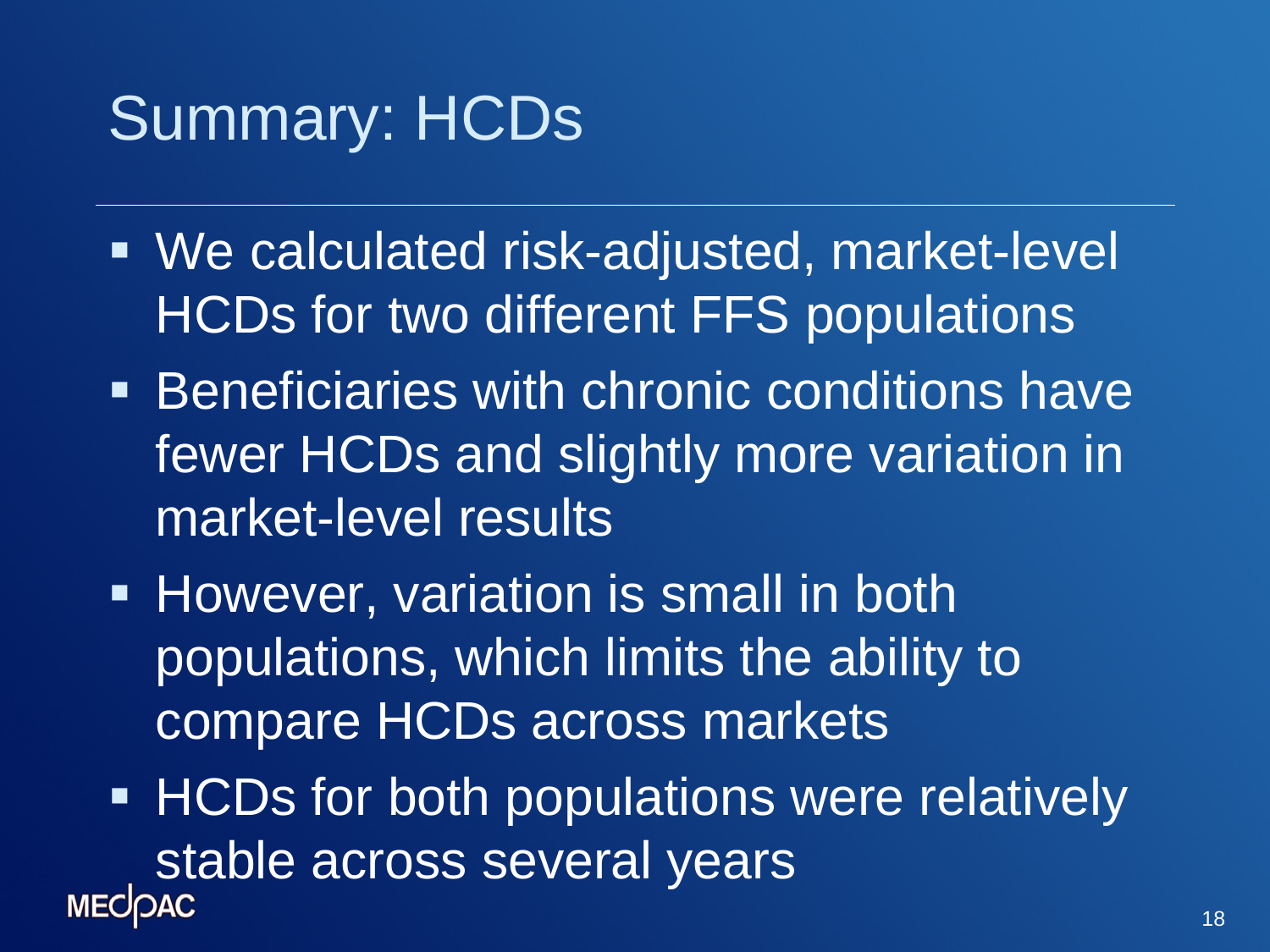## Summary: HCDs

- We calculated risk-adjusted, market-level HCDs for two different FFS populations
- **Beneficiaries with chronic conditions have** fewer HCDs and slightly more variation in market-level results
- **However, variation is small in both** populations, which limits the ability to compare HCDs across markets
- **HCDs for both populations were relatively** stable across several years<br>MECOAC